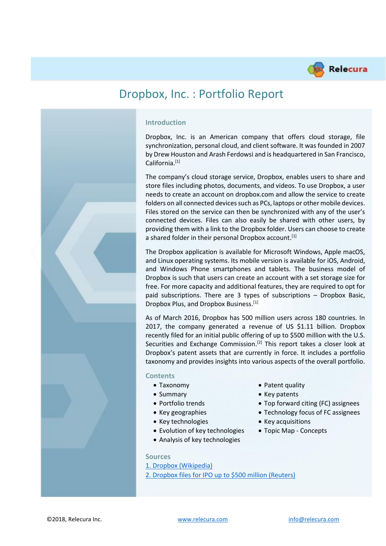

# Dropbox, Inc. : Portfolio Report

# **Introduction**

Dropbox, Inc. is an American company that offers cloud storage, file synchronization, personal cloud, and client software. It was founded in 2007 by Drew Houston and Arash Ferdowsi and is headquartered in San Francisco, California.[1]

The company's cloud storage service, Dropbox, enables users to share and store files including photos, documents, and videos. To use Dropbox, a user needs to create an account on dropbox.com and allow the service to create folders on all connected devices such as PCs, laptops or other mobile devices. Files stored on the service can then be synchronized with any of the user's connected devices. Files can also easily be shared with other users, by providing them with a link to the Dropbox folder. Users can choose to create a shared folder in their personal Dropbox account.<sup>[1]</sup>

The Dropbox application is available for Microsoft Windows, Apple macOS, and Linux operating systems. Its mobile version is available for iOS, Android, and Windows Phone smartphones and tablets. The business model of Dropbox is such that users can create an account with a set storage size for free. For more capacity and additional features, they are required to opt for paid subscriptions. There are 3 types of subscriptions – Dropbox Basic, Dropbox Plus, and Dropbox Business.[1]

As of March 2016, Dropbox has 500 million users across 180 countries. In 2017, the company generated a revenue of US \$1.11 billion. Dropbox recently filed for an initial public offering of up to \$500 million with the U.S. Securities and Exchange Commission.<sup>[2]</sup> This report takes a closer look at Dropbox's patent assets that are currently in force. It includes a portfolio taxonomy and provides insights into various aspects of the overall portfolio.

#### **Contents**

- 
- 
- 
- 
- Key technologies Key acquisitions
- Evolution of key technologies Topic Map Concepts
- Analysis of key technologies
- Taxonomy Patent quality
- Summary Key patents
- Portfolio trends Top forward citing (FC) assignees
- Key geographies Technology focus of FC assignees
	-
	-

#### **Sources**

- [1. Dropbox \(Wikipedia\)](https://en.wikipedia.org/wiki/Dropbox_(service))
- [2. Dropbox files for IPO up to \\$500 million \(Reuters\)](https://in.reuters.com/article/dropbox-ipo/dropbox-files-for-ipo-of-up-to-500-million-idINKCN1G72Q2)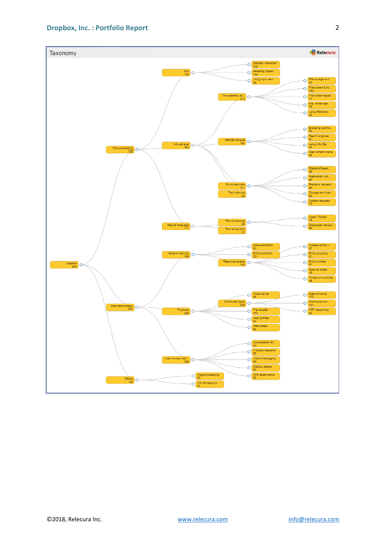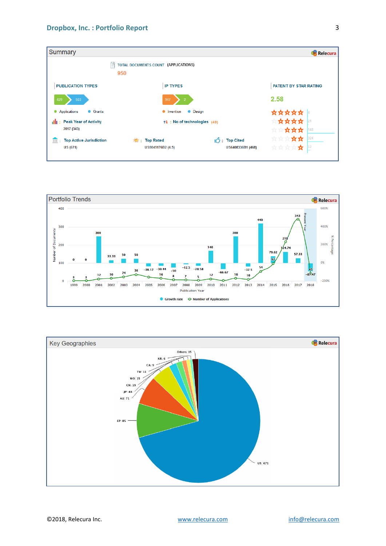| <b>Summary</b>                                           |                                             |                                             | <b>Relecura</b>                  |  |
|----------------------------------------------------------|---------------------------------------------|---------------------------------------------|----------------------------------|--|
| 囼                                                        | TOTAL DOCUMENTS COUNT (APPLICATIONS)<br>950 |                                             |                                  |  |
| <b>PUBLICATION TYPES</b>                                 | <b>IP TYPES</b>                             |                                             | PATENT BY STAR RATING            |  |
| 429<br>503                                               | 947<br>$\overline{2}$                       |                                             | 2.58                             |  |
| • Applications<br><b>C</b> Grants                        | • Invention                                 | <b>Design</b>                               | ☆☆☆☆☆                            |  |
| <b>ill</b> : Peak Year of Activity<br>2017 (343)         | ↑ : No of technologies (49)                 |                                             | *****<br>21<br>★★☆☆☆<br>548      |  |
| <b>Top Active Jurisdiction</b><br>III<br><b>US (671)</b> | * : Top Rated<br>US9049176B2 (4.5)          | $\sqrt{2}$ : Top Cited<br>US6408336B1 (468) | ☆☆☆☆☆<br>324<br>****<br>₩<br> 53 |  |



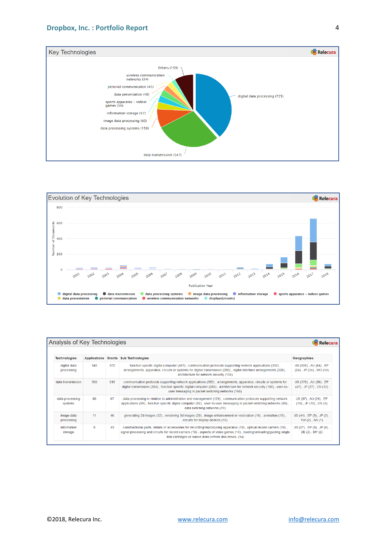



| Analysis of Key Technologies<br>Relecura |     |     |                                                                                                                                                                                                                                                                                                            |                                                         |
|------------------------------------------|-----|-----|------------------------------------------------------------------------------------------------------------------------------------------------------------------------------------------------------------------------------------------------------------------------------------------------------------|---------------------------------------------------------|
| <b>Technologies</b>                      |     |     | Applications Grants Sub Technologies                                                                                                                                                                                                                                                                       | Geographies                                             |
| digital data<br>processing               | 345 | 372 | function specific digital computer (487), communication protocols supporting network applications (332),<br>arrangements, apparatus, circuits or systems for digital transmission (280), digital interface arrangements (226),<br>architecture for network security (158)                                  | US (508), AU (64), EP<br>$(64)$ , JP $(34)$ , WO $(14)$ |
| data transmission                        | 300 | 245 | communication protocols supporting network applications (385), arrangements, apparatus, circuits or systems for<br>digital transmission (354), function specific digital computer (288), architecture for network security (196), user-to-<br>user messaging in packet-switching networks (166)            | US (378), AU (56), EP<br>$(47)$ , JP $(27)$ , CN $(12)$ |
| data processing<br>systems               | 89  | 67  | data processing in relation to administration and management (124), communication protocols supporting network<br>applications (99), function specific digital computer (92), user-to-user messaging in packet-switching networks (80),<br>data switching networks (70)                                    | US (97), AU (24), EP<br>$(19)$ , JP $(10)$ , CN $(3)$   |
| image data<br>processing                 | 11  | 46  | generating 2d images (32), rendering 3d images (29), image enhancement or restoration (16), animation (15),<br>circuits for display devices (15)                                                                                                                                                           | US (44), EP (5), JP (3),<br>TW $(2)$ , AR $(1)$         |
| information<br>storage                   | 8   | 43  | constructional parts, details or accessories for recording/reproducing apparatus (19), optical record carriers (19),<br>signal processing and circuits for record carriers (16), aspects of video games (14), loading/unloading/guiding single<br>disk cartridges or naked disks in/from disk drives. (14) | US (27), EP (9), JP (9),<br>$DE(2)$ , MY $(2)$          |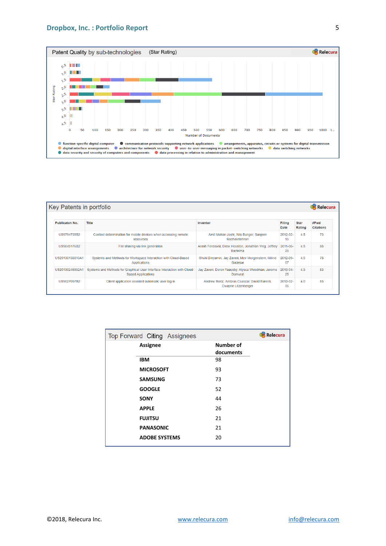#### **Dropbox, Inc. : Portfolio Report**



| Key Patents in portfolio |                                                                                                       |                                                                         |                   |                       | Relecura                 |
|--------------------------|-------------------------------------------------------------------------------------------------------|-------------------------------------------------------------------------|-------------------|-----------------------|--------------------------|
|                          |                                                                                                       |                                                                         |                   |                       |                          |
| <b>Publicaton No.</b>    | <b>Title</b>                                                                                          | Inventor                                                                | Filing<br>Date    | <b>Star</b><br>Rating | #Fwd<br><b>Citations</b> |
| US9794735B2              | Context determination for mobile devices when accessing remote<br>resources                           | Amit Mohan Joshi, Nils Bunger, Sanjeev<br>Radhakrishnan                 | $2012 - 02$<br>15 | 4.5                   | 73                       |
| US9049176B2              | File sharing via link generation                                                                      | Arash Ferdowsi, Drew Houston, Jonathan Ying, Jeffrey<br><b>Bartelma</b> | 2011-08-<br>25    | 4.5                   | 88                       |
| US20130138810A1          | Systems and Methods for Workspace Interaction with Cloud-Based<br>Applications                        | Shuki Binyamin, Jay Zaveri, Meir Morgenstern, Milind<br>Gadekar         | 2012-09-<br>07    | 4.5                   | 78                       |
| US20130246932A1          | Systems and Methods for Graphical User Interface Interaction with Cloud-<br><b>Based Applications</b> | Jay Zaveri, Doron Yaacoby, Alyssa Woodman, Jerome<br>Domurat            | 2013-04-<br>25    | 4.5                   | 83                       |
| US9027097B2              | Client application assisted automatic user log in                                                     | Andrew Bortz, Ambrus Csaszar, David Euresti,<br>Dwayne Litzenberger     | 2013-02-<br>06    | 4.0                   | 83                       |

| <b>Relecura</b><br>Top Forward Citing Assignees |  |                               |  |
|-------------------------------------------------|--|-------------------------------|--|
| Assignee                                        |  | <b>Number of</b><br>documents |  |
| <b>IBM</b>                                      |  | 98                            |  |
| <b>MICROSOFT</b>                                |  | 93                            |  |
| <b>SAMSUNG</b>                                  |  | 73                            |  |
| <b>GOOGLE</b>                                   |  | 52                            |  |
| <b>SONY</b>                                     |  | 44                            |  |
| <b>APPLE</b>                                    |  | 26                            |  |
| <b>FUJITSU</b>                                  |  | 21                            |  |
| <b>PANASONIC</b>                                |  | 21                            |  |
| <b>ADOBE SYSTEMS</b>                            |  | 20                            |  |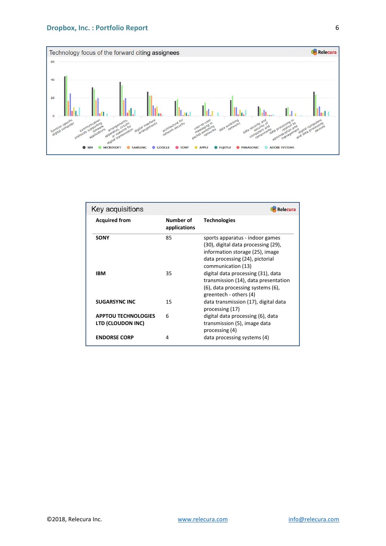#### **Dropbox, Inc. : Portfolio Report**



| Key acquisitions<br>Relecura                    |                           |                                                                                                                                                                    |  |  |
|-------------------------------------------------|---------------------------|--------------------------------------------------------------------------------------------------------------------------------------------------------------------|--|--|
| <b>Acquired from</b>                            | Number of<br>applications | <b>Technologies</b>                                                                                                                                                |  |  |
| <b>SONY</b>                                     | 85                        | sports apparatus - indoor games<br>(30), digital data processing (29),<br>information storage (25), image<br>data processing (24), pictorial<br>communication (13) |  |  |
| IBM                                             | 35                        | digital data processing (31), data<br>transmission (14), data presentation<br>(6), data processing systems (6),<br>greentech - others (4)                          |  |  |
| <b>SUGARSYNC INC</b>                            | 15                        | data transmission (17), digital data<br>processing (17)                                                                                                            |  |  |
| <b>APPTOU TECHNOLOGIES</b><br>LTD (CLOUDON INC) | 6                         | digital data processing (6), data<br>transmission (5), image data<br>processing (4)                                                                                |  |  |
| <b>ENDORSE CORP</b>                             | 4                         | data processing systems (4)                                                                                                                                        |  |  |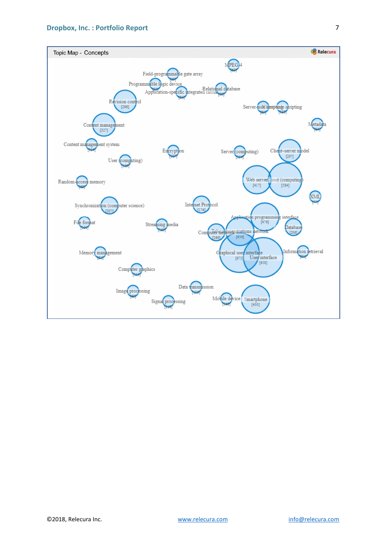